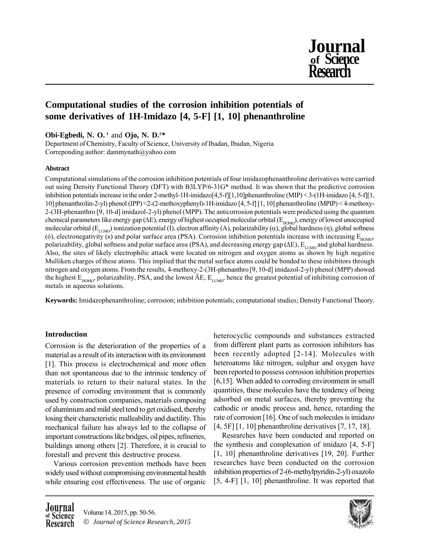

# **Computational studies of the corrosion inhibition potentials of some derivatives of 1H-Imidazo [4, 5-F] [1, 10] phenanthroline**

**Obi-Egbedi, N. O. <sup>1</sup>** and **Ojo, N. D.2\***

Department of Chemistry, Faculty of Science, University of Ibadan, Ibadan, Nigeria Correponding author: dammynath@yahoo.com

## **Abstract**

Computational simulations of the corrosion inhibition potentials of four imidazophenanthroline derivatives were carried out using Density Functional Theory (DFT) with B3LYP/6-31G\* method. It was shown that the predictive corrosion inhibition potentials increase in the order 2-methyl-1H-imidazo $[4,5-f][1,10]$ phenanthroline (MIP) < 3-(1H-imidazo  $[4, 5-f][1, 10]$ 10] phenanthrolin-2-yl) phenol (IPP) <2-(2-methoxyphenyl)-1H-imidazo [4, 5-f] [1, 10] phenanthroline (MPIP) < 4-methoxy-2-(3H-phenanthro [9, 10-d] imidazol-2-yl) phenol (MPP). The anticorrosion potentials were predicted using the quantum chemical parameters like energy gap ( $\Delta E$ ), energy of highest occupied molecular orbital ( $E_{HOMO}$ ), energy of lowest unoccupied molecular orbital ( $E_{LUMO}$ ) ionization potential (I), electron affinity (A), polarizability ( $\alpha$ ), global hardness (η), global softness (6), electronegativity  $\overrightarrow{x}$  and polar surface area (PSA). Corrosion inhibition potentials increase with increasing  $E_{HOMO}$ polarizability, global softness and polar surface area (PSA), and decreasing energy gap ( $\Delta E$ ),  $E_{LUMO}$  and global hardness. Also, the sites of likely electrophilic attack were located on nitrogen and oxygen atoms as shown by high negative Mulliken charges of these atoms. This implied that the metal surface atoms could be bonded to these inhibitors through nitrogen and oxygen atoms. From the results, 4-methoxy-2-(3H-phenanthro [9, 10-d] imidazol-2-yl) phenol (MPP) showed the highest  $E_{HOMO}$ , polarizability, PSA, and the lowest  $\overline{A}E$ ,  $E_{LUMO}$ , hence the greatest potential of inhibiting corrosion of metals in aqueous solutions.

**Keywords:** Imidazophenanthroline; corrosion; inhibition potentials; computational studies; Density Functional Theory.

## **Introduction**

Corrosion is the deterioration of the properties of a material as a result of its interaction with its environment [1]. This process is electrochemical and more often than not spontaneous due to the intrinsic tendency of materials to return to their natural states. In the presence of corroding environment that is commonly used by construction companies, materials composing of aluminium and mild steel tend to get oxidised, thereby losing their characteristic malleability and ductility. This mechanical failure has always led to the collapse of important constructions like bridges, oil pipes, refineries, buildings among others [2]. Therefore, it is crucial to forestall and prevent this destructive process.

Various corrosion prevention methods have been widely used without compromising environmental health while ensuring cost effectiveness. The use of organic heterocyclic compounds and substances extracted from different plant parts as corrosion inhibitors has been recently adopted [2-14]. Molecules with heteroatoms like nitrogen, sulphur and oxygen have been reported to possess corrosion inhibition properties [6,15]. When added to corroding environment in small quantities, these molecules have the tendency of being adsorbed on metal surfaces, thereby preventing the cathodic or anodic process and, hence, retarding the rate of corrosion [16]. One of such molecules is imidazo [4, 5F] [1, 10] phenanthroline derivatives [7, 17, 18].

Researches have been conducted and reported on the synthesis and complexation of imidazo [4, 5-F] [1, 10] phenanthroline derivatives [19, 20]. Further researches have been conducted on the corrosion inhibition properties of 2-(6-methylpyridin-2-yl) oxazolo [5, 4-F] [1, 10] phenanthroline. It was reported that

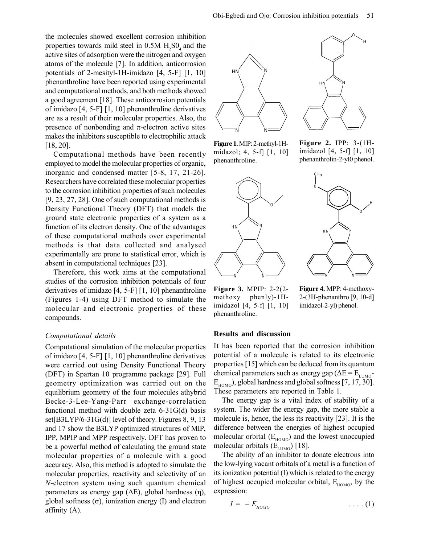the molecules showed excellent corrosion inhibition properties towards mild steel in  $0.5M H_2SO_4$  and the active sites of adsorption were the nitrogen and oxygen atoms of the molecule [7]. In addition, anticorrosion potentials of 2-mesityl-1H-imidazo [4, 5-F] [1, 10] phenanthroline have been reported using experimental and computational methods, and both methods showed a good agreement [18]. These anticorrosion potentials of imidazo [4, 5-F] [1, 10] phenanthroline derivatives are as a result of their molecular properties. Also, the presence of nonbonding and π-electron active sites makes the inhibitors susceptible to electrophilic attack [18, 20].

Computational methods have been recently employed to model the molecular properties of organic, inorganic and condensed matter [5-8, 17, 21-26]. Researchers have correlated these molecular properties to the corrosion inhibition properties of such molecules [9, 23, 27, 28]. One of such computational methods is Density Functional Theory (DFT) that models the ground state electronic properties of a system as a function of its electron density. One of the advantages of these computational methods over experimental methods is that data collected and analysed experimentally are prone to statistical error, which is absent in computational techniques [23].

Therefore, this work aims at the computational studies of the corrosion inhibition potentials of four derivatives of imidazo [4, 5-F] [1, 10] phenanthroline (Figures 1-4) using DFT method to simulate the molecular and electronic properties of these compounds.

#### *Computational details*

Computational simulation of the molecular properties of imidazo [4, 5-F] [1, 10] phenanthroline derivatives were carried out using Density Functional Theory (DFT) in Spartan 10 programme package [29]. Full geometry optimization was carried out on the equilibrium geometry of the four molecules athybrid Becke-3-Lee-Yang-Parr exchange-correlation functional method with double zeta 6-31G(d) basis set[B3LYP/6-31G(d)] level of theory. Figures 8, 9, 13 and 17 show the B3LYP optimized structures of MIP, IPP, MPIP and MPP respectively. DFT has proven to be a powerful method of calculating the ground state molecular properties of a molecule with a good accuracy. Also, this method is adopted to simulate the molecular properties, reactivity and selectivity of an *N*-electron system using such quantum chemical parameters as energy gap (ΔE), global hardness (η), global softness (σ), ionization energy (I) and electron affinity (A).



**Figure 1.** MIP: 2-methyl-1Hmidazol; 4, 5-f] [1, 10] phenanthroline.



**Figure 3.** MPIP: 2-2(2 methoxy phenly)-1Himidazol [4, 5-f] [1, 10] phenanthroline.

**Figure 2.** IPP: 3-(1Himidazol [4, 5-f] [1, 10] phenanthrolin-2-yl0 phenol.



**Figure 4.** MPP: 4-methoxy-2-(3H-phenanthro [9, 10-d] imidazol-2-yl) phenol.

#### **Results and discussion**

It has been reported that the corrosion inhibition potential of a molecule is related to its electronic properties [15] which can be deduced from its quantum chemical parameters such as energy gap ( $\Delta E = E_{LUMO}$ - $E_{HOMO}$ , global hardness and global softness [7, 17, 30]. These parameters are reported in Table 1.

The energy gap is a vital index of stability of a system. The wider the energy gap, the more stable a molecule is, hence, the less its reactivity [23]. It is the difference between the energies of highest occupied molecular orbital  $(E_{HOMO})$  and the lowest unoccupied molecular orbitals  $(E_{LUMO})$  [18].

The ability of an inhibitor to donate electrons into the low-lying vacant orbitals of a metal is a function of its ionization potential (I) which is related to the energy of highest occupied molecular orbital,  $E_{HOMO}$ , by the expression:

$$
I = -E_{HOMO} \qquad \qquad \ldots (1)
$$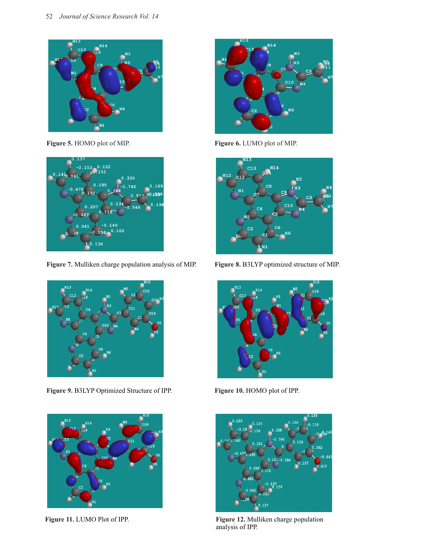

**Figure 5.** HOMO plot of MIP.



**Figure 7.** Mulliken charge population analysis of MIP.



**Figure 9.** B3LYP Optimized Structure of IPP.





**Figure 6.** LUMO plot of MIP.



**Figure 8.** B3LYP optimized structure of MIP.



**Figure 10.** HOMO plot of IPP.



**Figure 11.** LUMO Plot of IPP. **Figure 12.** Mulliken charge population analysis of IPP.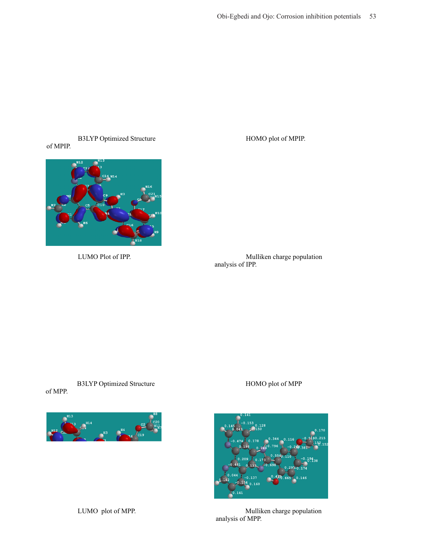#### Figure 13.B3LYP Optimized Structure of MPIP.



Figure 15.LUMO Plot of IPP.

Figure 14.HOMO plot of MPIP.

Figure 16.Mulliken charge population analysis of IPP.

Figure 17.B3LYP Optimized Structure of MPP.

## Figure 18.HOMO plot of MPP



Figure 19.LUMO plot of MPP. Figure 20.Mulliken charge population analysis of MPP.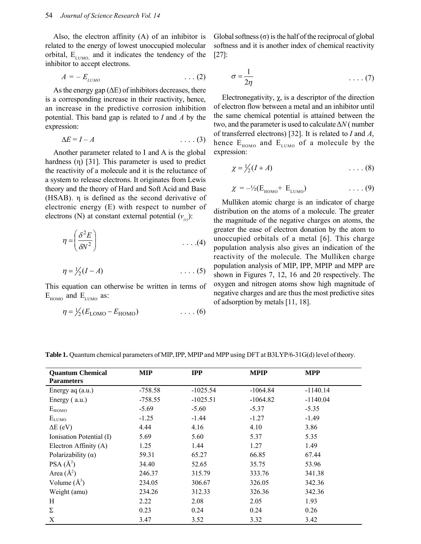Also, the electron affinity (A) of an inhibitor is related to the energy of lowest unoccupied molecular orbital,  $E_{LUMO}$  and it indicates the tendency of the inhibitor to accept electrons.

$$
A = -E_{LUMO} \qquad \qquad \ldots (2)
$$

As the energy gap  $(\Delta E)$  of inhibitors decreases, there is a corresponding increase in their reactivity, hence, an increase in the predictive corrosion inhibition potential. This band gap is related to *I* and *A* by the expression:

$$
\Delta E = I - A \tag{3}
$$

Another parameter related to I and A is the global hardness (η) [31]. This parameter is used to predict the reactivity of a molecule and it is the reluctance of a system to release electrons. It originates from Lewis theory and the theory of Hard and Soft Acid and Base (HSAB). η is defined as the second derivative of electronic energy (E) with respect to number of electrons (N) at constant external potential  $(v_{\alpha})$ :

$$
\eta = \left(\frac{\delta^2 E}{\delta N^2}\right) \tag{4}
$$

$$
\eta = \frac{1}{2}(I - A) \tag{5}
$$

This equation can otherwise be written in terms of  $E_{HOMO}$  and  $E_{LUMO}$  as:

$$
\eta = \frac{1}{2}(E_{\text{LOMO}} - E_{\text{HOMO}}) \tag{6}
$$

Global softness  $(\sigma)$  is the half of the reciprocal of global softness and it is another index of chemical reactivity [27]:

$$
\sigma = \frac{1}{2\eta} \tag{7}
$$

Electronegativity,  $\chi$ , is a descriptor of the direction of electron flow between a metal and an inhibitor until the same chemical potential is attained between the two, and the parameter is used to calculate Δ*N* ( number of transferred electrons) [32]. It is related to *I* and *A*, hence  $E_{HOMO}$  and  $E_{LUMO}$  of a molecule by the expression:

$$
\chi = \frac{1}{2}(I + A) \tag{8}
$$

$$
\chi = -\frac{1}{2}(E_{HOMO} + E_{LUMO}) \qquad \qquad \ldots \qquad (9)
$$

Mulliken atomic charge is an indicator of charge distribution on the atoms of a molecule. The greater the magnitude of the negative charges on atoms, the greater the ease of electron donation by the atom to unoccupied orbitals of a metal [6]. This charge population analysis also gives an indication of the reactivity of the molecule. The Mulliken charge population analysis of MIP, IPP, MPIP and MPP are shown in Figures 7, 12, 16 and 20 respectively. The oxygen and nitrogen atoms show high magnitude of negative charges and are thus the most predictive sites of adsorption by metals [11, 18].

**Quantum Chemical Parameters MIP IPP MPIP MPP** Energy aq (a.u.) -758.58 -1025.54 -1064.84 -1140.14 Energy ( a.u.) -758.55 -1025.51 -1064.82 -1140.04  $E_{HOMO}$  -5.69 -5.60 -5.37 -5.35  $E_{\text{LUMO}}$  -1.25 -1.44 -1.27 -1.49  $\Delta E$  (eV)  $4.44$   $4.16$   $4.10$   $3.86$ Ionisation Potential (I) 5.69 5.60 5.37 5.35 Electron Affinity (A) 1.25 1.44 1.27 1.49 Polarizability ( $\alpha$ ) 59.31 65.27 66.85 67.44 PSA  $(\AA^2)$ ) 34.40 52.65 35.75 53.96 Area  $(\AA^2)$ ) 246.37 315.79 333.76 341.38 Volume  $(\AA^3)$ ) 234.05 306.67 326.05 342.36 Weight (amu) 234.26 312.33 326.36 342.36 342.36 H 2.22 2.08 2.05 1.93  $Σ$  0.23 0.24 0.24 0.26  $X$  3.47 3.52 3.32 3.42

**Table 1.** Quantum chemical parameters of MIP, IPP, MPIP and MPP using DFT at B3LYP/6-31G(d) level of theory.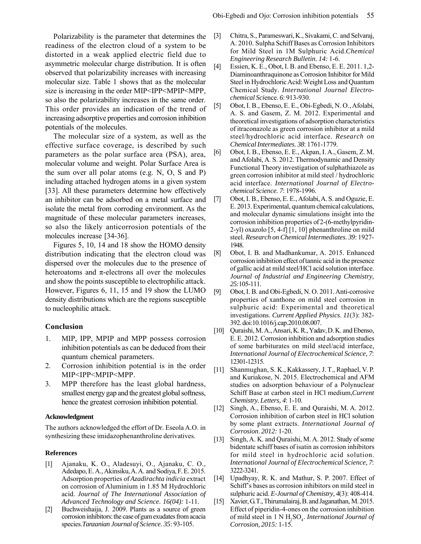Polarizability is the parameter that determines the readiness of the electron cloud of a system to be distorted in a weak applied electric field due to asymmetric molecular charge distribution. It is often observed that polarizability increases with increasing molecular size. Table 1 shows that as the molecular size is increasing in the order MIP<IPP<MPIP<MPP, so also the polarizability increases in the same order. This order provides an indication of the trend of increasing adsorptive properties and corrosion inhibition potentials of the molecules.

The molecular size of a system, as well as the effective surface coverage, is described by such parameters as the polar surface area (PSA), area, molecular volume and weight. Polar Surface Area is the sum over all polar atoms (e.g. N, O, S and P) including attached hydrogen atoms in a given system [33]. All these parameters determine how effectively an inhibitor can be adsorbed on a metal surface and isolate the metal from corroding environment. As the magnitude of these molecular parameters increases, so also the likely anticorrosion potentials of the molecules increase [34-36].

Figures 5, 10, 14 and 18 show the HOMO density distribution indicating that the electron cloud was dispersed over the molecules due to the presence of heteroatoms and  $\pi$ -electrons all over the molecules and show the points susceptible to electrophilic attack. However, Figures 6, 11, 15 and 19 show the LUMO density distributions which are the regions susceptible to nucleophilic attack.

#### **Conclusion**

- 1. MIP, IPP, MPIP and MPP possess corrosion inhibition potentials as can be deduced from their quantum chemical parameters.
- 2. Corrosion inhibition potential is in the order MIP<IPP<MPIP<MPP.
- 3. MPP therefore has the least global hardness, smallest energy gap and the greatest global softness, hence the greatest corrosion inhibition potential.

#### **Acknowledgment**

The authors acknowledged the effort of Dr. Eseola A.O. in synthesizing these imidazophenanthroline derivatives.

#### **References**

- [1] Ajanaku, K. O., Aladesuyi, O., Ajanaku, C. O., Adedapo, E. A., Akinsiku, A. A. and Sodiya, F. E. 2015. Adsorption properties of *Azadirachta indicia* extract on corrosion of Aluminium in 1.85 M Hydrochloric acid. *Journal of The International Association of Advanced Technology and Science. 16(04):* 1-11.
- [2] Buchweishaija, J. 2009. Plants as a source of green corrosion inhibitors: the case of gum exudates from acacia species.*Tanzanian Journal of Science*. *35*: 93-105.
- [3] Chitra, S., Parameswari, K., Sivakami, C. and Selvaraj, A. 2010. Sulpha Schiff Bases as Corrosion Inhibitors for Mild Steel in 1M Sulphuric Acid.*Chemical Engineering Research Bulletin. 14:* 1-6.
- [4] Essien, K. E., Obot, I. B. and Ebenso, E. E. 2011. 1,2-Diaminoanthraquinone as Corrosion Inhibitor for Mild Steel in Hydrochloric Acid: Weight Loss and Quantum Chemical Study. *International Journal Electrochemical Sci*ence. *6*: 913-930.
- [5] Obot, I. B., Ebenso, E. E., Obi-Egbedi, N. O., Afolabi, A. S. and Gasem, Z. M. 2012. Experimental and theoretical investigations of adsorption characteristics of itraconazole as green corrosion inhibitor at a mild steel/hydrochloric acid interface. *Research on Chemical Intermediates*. *38*: 1761-1779.
- [6] Obot, I. B., Ebenso, E. E., Akpan, I. A., Gasem, Z. M. and Afolabi, A. S. 2012. Thermodynamic and Density Functional Theory investigation of sulphathiazole as green corrosion inhibitor at mild steel / hydrochloric acid interface. *International Journal of Electrochemical Science. 7*: 1978-1996.
- [7] Obot, I. B., Ebenso, E. E., Afolabi, A. S. and Oguzie, E. E. 2013. Experimental, quantum chemical calculations, and molecular dynamic simulations insight into the corrosion inhibition properties of 2-(6-methylpyridin-2-yl) oxazolo [5, 4-f] [1, 10] phenanthroline on mild steel. *Research on Chemical Intermediates*. *39*: 1927- 1948.
- [8] Obot, I. B. and Madhankumar, A. 2015. Enhanced corrosion inhibition effect of tannic acid in the presence of gallic acid at mild steel/HCl acid solution interface. *Journal of Industrial and Engineering Chemistry*, *25:*105-111.
- [9] Obot, I. B. and Obi-Egbedi, N. O. 2011. Anti-corrosive properties of xanthone on mild steel corrosion in sulphuric acid: Experimental and theoretical investigations. *Current Applied Physics*. *11*(3): 382- 392. doi:10.1016/j.cap.2010.08.007.
- [10] Quraishi, M. A., Ansari, K. R., Yadav, D. K. and Ebenso, E. E. 2012. Corrosion inhibition and adsorption studies of some barbiturates on mild steel/acid interface, *International Journal of Electrochemical Science, 7*: 12301-12315.
- [11] Shanmughan, S. K., Kakkassery, J. T., Raphael, V. P. and Kuriakose, N. 2015. Electrochemical and AFM studies on adsorption behaviour of a Polynuclear Schiff Base at carbon steel in HCl medium,*Current Chemistry. Letters, 4*: 1-10.
- [12] Singh, A., Ebenso, E. E. and Quraishi, M. A. 2012. Corrosion inhibition of carbon steel in HCl solution by some plant extracts. *International Journal of Corrosion*. *2012:* 1-20.
- [13] Singh, A. K. and Quraishi, M. A. 2012. Study of some bidentate schiff bases of isatin as corrosion inhibitors for mild steel in hydrochloric acid solution. *International Journal of Electrochemical Science, 7*: 3222-3241.
- [14] Upadhyay, R. K. and Mathur, S. P. 2007. Effect of Schiff's bases as corrosion inhibitors on mild steel in sulphuric acid. *E-Journal of Chemistry, 4*(3): 408-414.
- [15] Xavier, G.T., Thirumalairaj, B. and Jaganathan, M. 2015. Effect of piperidin-4-ones on the corrosion inhibition of mild steel in 1 N H<sup>2</sup> SO<sup>4</sup> . *International Journal of Corrosion, 2015:* 1-15.